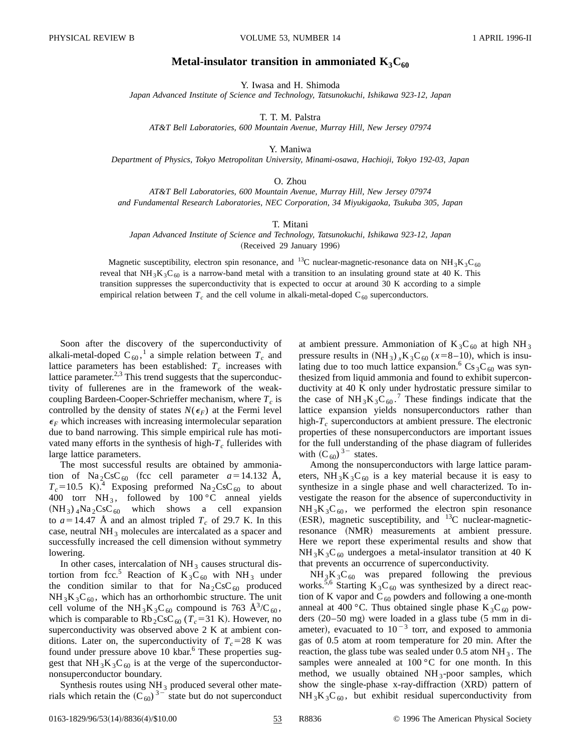## **Metal-insulator transition in ammoniated**  $K_3C_{60}$

Y. Iwasa and H. Shimoda

*Japan Advanced Institute of Science and Technology, Tatsunokuchi, Ishikawa 923-12, Japan*

T. T. M. Palstra

*AT&T Bell Laboratories, 600 Mountain Avenue, Murray Hill, New Jersey 07974*

Y. Maniwa

*Department of Physics, Tokyo Metropolitan University, Minami-osawa, Hachioji, Tokyo 192-03, Japan*

O. Zhou

*AT&T Bell Laboratories, 600 Mountain Avenue, Murray Hill, New Jersey 07974 and Fundamental Research Laboratories, NEC Corporation, 34 Miyukigaoka, Tsukuba 305, Japan*

T. Mitani

*Japan Advanced Institute of Science and Technology, Tatsunokuchi, Ishikawa 923-12, Japan* (Received 29 January 1996)

Magnetic susceptibility, electron spin resonance, and <sup>13</sup>C nuclear-magnetic-resonance data on NH<sub>3</sub>K<sub>3</sub>C<sub>60</sub>

reveal that NH<sub>3</sub>K<sub>3</sub>C<sub>60</sub> is a narrow-band metal with a transition to an insulating ground state at 40 K. This transition suppresses the superconductivity that is expected to occur at around 30 K according to a simple empirical relation between  $T_c$  and the cell volume in alkali-metal-doped  $C_{60}$  superconductors.

Soon after the discovery of the superconductivity of alkali-metal-doped  $C_{60}$ ,<sup>1</sup> a simple relation between  $T_c$  and lattice parameters has been established:  $T_c$  increases with lattice parameter. $2,3$  This trend suggests that the superconductivity of fullerenes are in the framework of the weakcoupling Bardeen-Cooper-Schrieffer mechanism, where  $T_c$  is controlled by the density of states  $N(\epsilon_F)$  at the Fermi level  $\epsilon_F$  which increases with increasing intermolecular separation due to band narrowing. This simple empirical rule has motivated many efforts in the synthesis of high- $T_c$  fullerides with large lattice parameters.

The most successful results are obtained by ammoniation of  $\text{Na}_2\text{CsC}_{60}$  (fcc cell parameter  $a=14.132$  Å,  $T_c$ =10.5 K).<sup>4</sup> Exposing preformed Na<sub>2</sub>CsC<sub>60</sub> to about 400 torr  $NH_3$ , followed by 100 °C anneal yields  $(NH_3)$ <sub>4</sub>Na<sub>2</sub>CsC<sub>60</sub> which shows a cell expansion to  $a=14.47$  Å and an almost tripled  $T_c$  of 29.7 K. In this case, neutral NH<sub>3</sub> molecules are intercalated as a spacer and successfully increased the cell dimension without symmetry lowering.

In other cases, intercalation of  $NH_3$  causes structural distortion from fcc.<sup>5</sup> Reaction of  $K_3C_{60}$  with NH<sub>3</sub> under the condition similar to that for  $Na<sub>2</sub>CsC<sub>60</sub>$  produced  $NH_3K_3C_{60}$ , which has an orthorhombic structure. The unit cell volume of the NH<sub>3</sub>K<sub>3</sub>C<sub>60</sub> compound is 763 Å<sup>3</sup>/C<sub>60</sub>, which is comparable to  $Rb_2CsC_{60}$  ( $T_c$ =31 K). However, no superconductivity was observed above 2 K at ambient conditions. Later on, the superconductivity of  $T_c$ =28 K was found under pressure above 10 kbar.<sup>6</sup> These properties suggest that  $NH_3K_3C_{60}$  is at the verge of the superconductornonsuperconductor boundary.

Synthesis routes using  $NH<sub>3</sub>$  produced several other materials which retain the  $(C_{60})^{3}$  state but do not superconduct at ambient pressure. Ammoniation of  $K_3C_{60}$  at high NH<sub>3</sub> pressure results in  $(NH_3)$ <sub>*x*</sub>K<sub>3</sub>C<sub>60</sub> ( $x=8-10$ ), which is insulating due to too much lattice expansion.<sup>6</sup> Cs<sub>3</sub>C<sub>60</sub> was synthesized from liquid ammonia and found to exhibit superconductivity at 40 K only under hydrostatic pressure similar to the case of  $NH_3K_3C_{60}$ .<sup>7</sup> These findings indicate that the lattice expansion yields nonsuperconductors rather than high- $T_c$  superconductors at ambient pressure. The electronic properties of these nonsuperconductors are important issues for the full understanding of the phase diagram of fullerides with  $(C_{60})^{3}$  states.

Among the nonsuperconductors with large lattice parameters,  $NH_3K_3C_{60}$  is a key material because it is easy to synthesize in a single phase and well characterized. To investigate the reason for the absence of superconductivity in  $NH_3K_3C_{60}$ , we performed the electron spin resonance (ESR), magnetic susceptibility, and  $^{13}$ C nuclear-magneticresonance (NMR) measurements at ambient pressure. Here we report these experimental results and show that  $NH_3K_3C_{60}$  undergoes a metal-insulator transition at 40 K that prevents an occurrence of superconductivity.

 $NH_3K_3C_{60}$  was prepared following the previous works.<sup>5,6</sup> Starting K<sub>3</sub>C<sub>60</sub> was synthesized by a direct reaction of K vapor and  $C_{60}$  powders and following a one-month anneal at 400 °C. Thus obtained single phase  $K_3C_{60}$  powders  $(20–50$  mg) were loaded in a glass tube  $(5 \text{ mm in di-}$ ameter), evacuated to  $10^{-3}$  torr, and exposed to ammonia gas of 0.5 atom at room temperature for 20 min. After the reaction, the glass tube was sealed under  $0.5$  atom NH<sub>3</sub>. The samples were annealed at  $100\,^{\circ}\text{C}$  for one month. In this method, we usually obtained  $NH_3$ -poor samples, which show the single-phase x-ray-diffraction (XRD) pattern of  $NH_3K_3C_{60}$ , but exhibit residual superconductivity from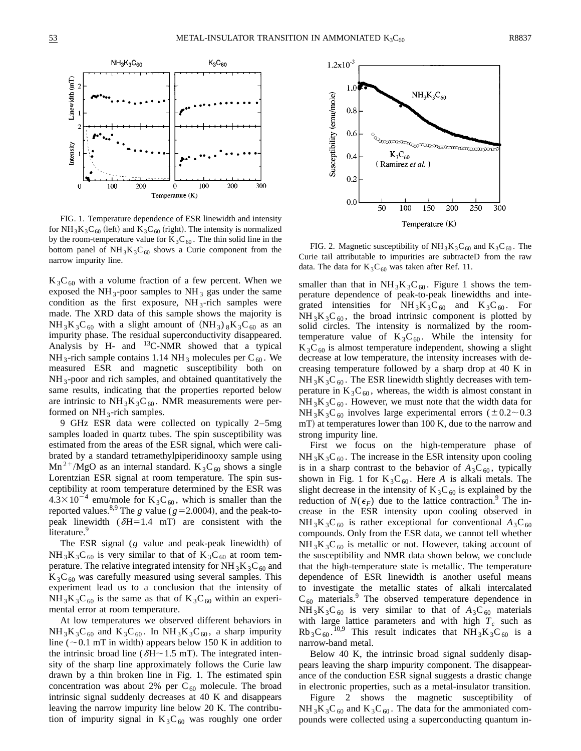Linewidth (mT)

Intensity

 $\theta$ 



FIG. 1. Temperature dependence of ESR linewidth and intensity for NH<sub>3</sub>K<sub>3</sub>C<sub>60</sub> (left) and K<sub>3</sub>C<sub>60</sub> (right). The intensity is normalized by the room-temperature value for  $K_3C_{60}$ . The thin solid line in the bottom panel of  $NH<sub>3</sub>K<sub>3</sub>C<sub>60</sub>$  shows a Curie component from the narrow impurity line.

 $\theta$ 

Temperature (K)

100

200

300

200

 $100$ 

 $K_3C_{60}$  with a volume fraction of a few percent. When we exposed the  $NH_3$ -poor samples to  $NH_3$  gas under the same condition as the first exposure,  $NH_3$ -rich samples were made. The XRD data of this sample shows the majority is  $NH_3K_3C_{60}$  with a slight amount of  $(NH_3)$   $_8K_3C_{60}$  as an impurity phase. The residual superconductivity disappeared. Analysis by H- and  $^{13}$ C-NMR showed that a typical NH<sub>3</sub>-rich sample contains 1.14 NH<sub>3</sub> molecules per C<sub>60</sub>. We measured ESR and magnetic susceptibility both on  $NH_3$ -poor and rich samples, and obtained quantitatively the same results, indicating that the properties reported below are intrinsic to  $NH_3K_3C_{60}$ . NMR measurements were performed on  $NH_3$ -rich samples.

9 GHz ESR data were collected on typically 2–5mg samples loaded in quartz tubes. The spin susceptibility was estimated from the areas of the ESR signal, which were calibrated by a standard tetramethylpiperidinooxy sample using  $Mn^{2+}/MgO$  as an internal standard. K<sub>3</sub>C<sub>60</sub> shows a single Lorentzian ESR signal at room temperature. The spin susceptibility at room temperature determined by the ESR was  $4.3 \times 10^{-4}$  emu/mole for K<sub>3</sub>C<sub>60</sub>, which is smaller than the reported values.<sup>8,9</sup> The *g* value ( $g=2.0004$ ), and the peak-topeak linewidth  $(\delta H=1.4$  mT) are consistent with the literature.<sup>9</sup>

The ESR signal  $(g$  value and peak-peak linewidth) of  $NH_3K_3C_{60}$  is very similar to that of  $K_3C_{60}$  at room temperature. The relative integrated intensity for  $NH<sub>3</sub>K<sub>3</sub>C<sub>60</sub>$  and  $K_3C_{60}$  was carefully measured using several samples. This experiment lead us to a conclusion that the intensity of  $NH_3K_3C_{60}$  is the same as that of  $K_3C_{60}$  within an experimental error at room temperature.

At low temperatures we observed different behaviors in  $NH_3K_3C_{60}$  and  $K_3C_{60}$ . In  $NH_3K_3C_{60}$ , a sharp impurity line ( $\sim$  0.1 mT in width) appears below 150 K in addition to the intrinsic broad line ( $\delta$ H $\sim$ 1.5 mT). The integrated intensity of the sharp line approximately follows the Curie law drawn by a thin broken line in Fig. 1. The estimated spin concentration was about 2% per  $C_{60}$  molecule. The broad intrinsic signal suddenly decreases at 40 K and disappears leaving the narrow impurity line below 20 K. The contribution of impurity signal in  $K_3C_{60}$  was roughly one order



FIG. 2. Magnetic susceptibility of  $NH_3K_3C_{60}$  and  $K_3C_{60}$ . The Curie tail attributable to impurities are subtracteD from the raw data. The data for  $K_3C_{60}$  was taken after Ref. 11.

smaller than that in  $NH_3K_3C_{60}$ . Figure 1 shows the temperature dependence of peak-to-peak linewidths and integrated intensities for  $NH_3K_3C_{60}$  and  $K_3C_{60}$ . For  $NH_3K_3C_{60}$ , the broad intrinsic component is plotted by solid circles. The intensity is normalized by the roomtemperature value of  $K_3C_{60}$ . While the intensity for  $K_3C_{60}$  is almost temperature independent, showing a slight decrease at low temperature, the intensity increases with decreasing temperature followed by a sharp drop at 40 K in  $NH<sub>3</sub>K<sub>3</sub>C<sub>60</sub>$ . The ESR linewidth slightly decreases with temperature in  $K_3C_{60}$ , whereas, the width is almost constant in  $NH_3K_3C_{60}$ . However, we must note that the width data for  $NH_3K_3C_{60}$  involves large experimental errors ( $\pm 0.2$  ~ 0.3  $mT$ ) at temperatures lower than 100 K, due to the narrow and strong impurity line.

First we focus on the high-temperature phase of  $NH<sub>3</sub>K<sub>3</sub>C<sub>60</sub>$ . The increase in the ESR intensity upon cooling is in a sharp contrast to the behavior of  $A_3C_{60}$ , typically shown in Fig. 1 for  $K_3C_{60}$ . Here *A* is alkali metals. The slight decrease in the intensity of  $K_3C_{60}$  is explained by the reduction of  $N(\epsilon_F)$  due to the lattice contraction.<sup>9</sup> The increase in the ESR intensity upon cooling observed in  $NH_3K_3C_{60}$  is rather exceptional for conventional  $A_3C_{60}$ compounds. Only from the ESR data, we cannot tell whether  $NH_3K_3C_{60}$  is metallic or not. However, taking account of the susceptibility and NMR data shown below, we conclude that the high-temperature state is metallic. The temperature dependence of ESR linewidth is another useful means to investigate the metallic states of alkali intercalated  $C_{60}$  materials.<sup>9</sup> The observed temperature dependence in  $NH_3K_3C_{60}$  is very similar to that of  $A_3C_{60}$  materials with large lattice parameters and with high  $T_c$  such as  $Rb_3C_{60}$ . <sup>10,9</sup> This result indicates that  $NH_3K_3C_{60}$  is a narrow-band metal.

Below 40 K, the intrinsic broad signal suddenly disappears leaving the sharp impurity component. The disappearance of the conduction ESR signal suggests a drastic change in electronic properties, such as a metal-insulator transition.

Figure 2 shows the magnetic susceptibility of  $NH_3K_3C_{60}$  and  $K_3C_{60}$ . The data for the ammoniated compounds were collected using a superconducting quantum in-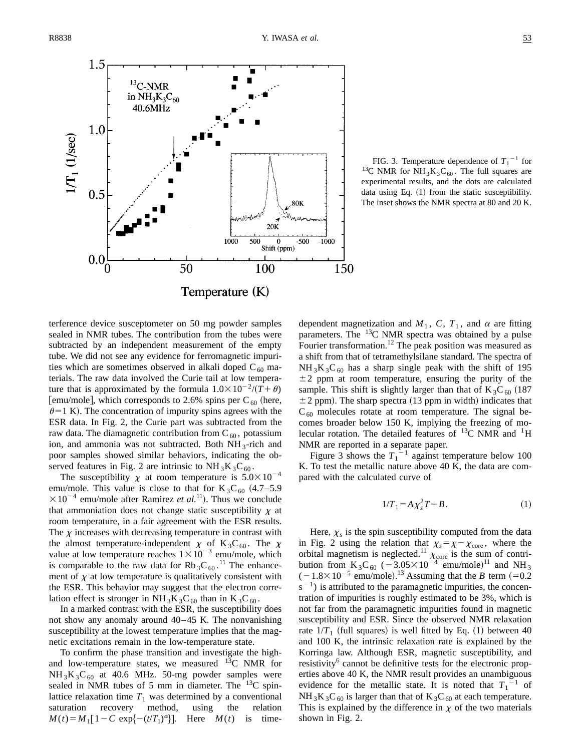

FIG. 3. Temperature dependence of  $T_1$ <sup>-1</sup> for <sup>13</sup>C NMR for NH<sub>3</sub>K<sub>3</sub>C<sub>60</sub>. The full squares are experimental results, and the dots are calculated data using Eq.  $(1)$  from the static susceptibility. The inset shows the NMR spectra at 80 and 20 K.

terference device susceptometer on 50 mg powder samples sealed in NMR tubes. The contribution from the tubes were subtracted by an independent measurement of the empty tube. We did not see any evidence for ferromagnetic impurities which are sometimes observed in alkali doped  $C_{60}$  materials. The raw data involved the Curie tail at low temperature that is approximated by the formula  $1.0 \times 10^{-2} / (T + \theta)$ [emu/mole], which corresponds to 2.6% spins per  $C_{60}$  (here,  $\theta$ =1 K). The concentration of impurity spins agrees with the ESR data. In Fig. 2, the Curie part was subtracted from the raw data. The diamagnetic contribution from  $C_{60}$ , potassium ion, and ammonia was not subtracted. Both  $NH_3$ -rich and poor samples showed similar behaviors, indicating the observed features in Fig. 2 are intrinsic to  $NH_3K_3C_{60}$ .

The susceptibility  $\chi$  at room temperature is  $5.0 \times 10^{-4}$ emu/mole. This value is close to that for  $K_3C_{60}$  (4.7–5.9)  $\times 10^{-4}$  emu/mole after Ramirez *et al.*<sup>11</sup>). Thus we conclude that ammoniation does not change static susceptibility  $\chi$  at room temperature, in a fair agreement with the ESR results. The  $\chi$  increases with decreasing temperature in contrast with the almost temperature-independent  $\chi$  of K<sub>3</sub>C<sub>60</sub>. The  $\chi$ value at low temperature reaches  $1 \times 10^{-3}$  emu/mole, which is comparable to the raw data for  $Rb_3C_{60}$ .<sup>11</sup> The enhancement of  $\chi$  at low temperature is qualitatively consistent with the ESR. This behavior may suggest that the electron correlation effect is stronger in  $NH_3K_3C_{60}$  than in  $K_3C_{60}$ .

In a marked contrast with the ESR, the susceptibility does not show any anomaly around  $40-45$  K. The nonvanishing susceptibility at the lowest temperature implies that the magnetic excitations remain in the low-temperature state.

To confirm the phase transition and investigate the highand low-temperature states, we measured  $^{13}$ C NMR for  $NH_3K_3C_{60}$  at 40.6 MHz. 50-mg powder samples were sealed in NMR tubes of 5 mm in diameter. The  $^{13}$ C spinlattice relaxation time  $T_1$  was determined by a conventional saturation recovery method, using the relation saturation recovery method, using the  $M(t) = M_1[1 - C \exp\{-(t/T_1)^{\alpha}\}]$ . Here  $M(t)$  is timedependent magnetization and  $M_1$ , C,  $T_1$ , and  $\alpha$  are fitting parameters. The 13C NMR spectra was obtained by a pulse Fourier transformation.<sup>12</sup> The peak position was measured as a shift from that of tetramethylsilane standard. The spectra of  $NH_3K_3C_{60}$  has a sharp single peak with the shift of 195  $\pm 2$  ppm at room temperature, ensuring the purity of the sample. This shift is slightly larger than that of  $K_3C_{60}$  (187  $\pm$  2 ppm). The sharp spectra (13 ppm in width) indicates that  $C_{60}$  molecules rotate at room temperature. The signal becomes broader below 150 K, implying the freezing of molecular rotation. The detailed features of  $^{13}$ C NMR and  $^{1}$ H NMR are reported in a separate paper.

Figure 3 shows the  $T_1^{-1}$  against temperature below 100 K. To test the metallic nature above 40 K, the data are compared with the calculated curve of

$$
1/T_1 = A \chi_s^2 T + B. \tag{1}
$$

Here,  $\chi_s$  is the spin susceptibility computed from the data in Fig. 2 using the relation that  $\chi_s = \chi - \chi_{\text{core}}$ , where the orbital magnetism is neglected.<sup>11</sup>  $\chi$ <sub>core</sub> is the sum of contribution from  $K_3C_{60}$  (-3.05×10<sup>-4</sup> emu/mole)<sup>11</sup> and NH<sub>3</sub>  $(-1.8 \times 10^{-5}$  emu/mole).<sup>13</sup> Assuming that the *B* term  $(=0.2$  $s^{-1}$ ) is attributed to the paramagnetic impurities, the concentration of impurities is roughly estimated to be 3%, which is not far from the paramagnetic impurities found in magnetic susceptibility and ESR. Since the observed NMR relaxation rate  $1/T_1$  (full squares) is well fitted by Eq. (1) between 40 and 100 K, the intrinsic relaxation rate is explained by the Korringa law. Although ESR, magnetic susceptibility, and resistivity<sup>6</sup> cannot be definitive tests for the electronic properties above 40 K, the NMR result provides an unambiguous evidence for the metallic state. It is noted that  $T_1^{-1}$  of  $NH_3K_3C_{60}$  is larger than that of  $K_3C_{60}$  at each temperature. This is explained by the difference in  $\chi$  of the two materials shown in Fig. 2.